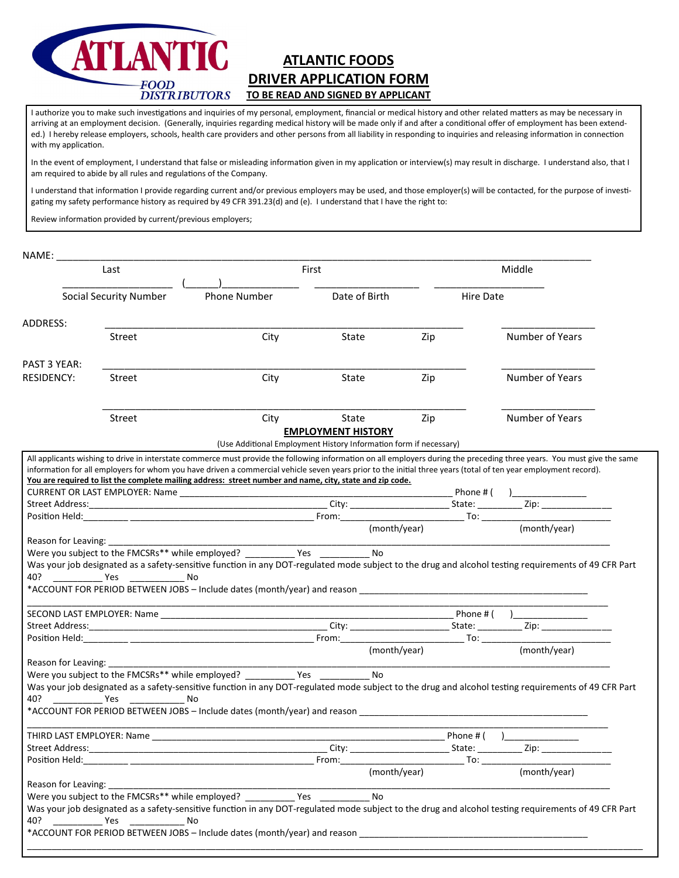

# **ATLANTIC FOODS DRIVER APPLICATION FORM TO BE READ AND SIGNED BY APPLICANT**

I authorize you to make such investigations and inquiries of my personal, employment, financial or medical history and other related matters as may be necessary in arriving at an employment decision. (Generally, inquiries regarding medical history will be made only if and after a conditional offer of employment has been extended.) I hereby release employers, schools, health care providers and other persons from all liability in responding to inquiries and releasing information in connection with my application.

In the event of employment, I understand that false or misleading information given in my application or interview(s) may result in discharge. I understand also, that I am required to abide by all rules and regulatons of the Company.

I understand that information I provide regarding current and/or previous employers may be used, and those employer(s) will be contacted, for the purpose of investigating my safety performance history as required by 49 CFR 391.23(d) and (e). I understand that I have the right to:

Review information provided by current/previous employers;

| NAME:                         |            |                                                                                                                                                                                                                                                                             |                           |              |                  |                 |  |
|-------------------------------|------------|-----------------------------------------------------------------------------------------------------------------------------------------------------------------------------------------------------------------------------------------------------------------------------|---------------------------|--------------|------------------|-----------------|--|
|                               | Last       |                                                                                                                                                                                                                                                                             | First                     |              |                  | Middle          |  |
| <b>Social Security Number</b> |            | Phone Number                                                                                                                                                                                                                                                                | Date of Birth             |              | <b>Hire Date</b> |                 |  |
| ADDRESS:                      |            |                                                                                                                                                                                                                                                                             |                           |              |                  |                 |  |
|                               | Street     | City                                                                                                                                                                                                                                                                        | State                     | Zip          |                  | Number of Years |  |
| PAST 3 YEAR:                  |            |                                                                                                                                                                                                                                                                             |                           |              |                  |                 |  |
| <b>RESIDENCY:</b>             | Street     | City                                                                                                                                                                                                                                                                        | State                     | Zip          |                  | Number of Years |  |
|                               | Street     | City                                                                                                                                                                                                                                                                        | State                     | Zip          |                  | Number of Years |  |
|                               |            | (Use Additional Employment History Information form if necessary)                                                                                                                                                                                                           | <b>EMPLOYMENT HISTORY</b> |              |                  |                 |  |
|                               |            | information for all employers for whom you have driven a commercial vehicle seven years prior to the initial three years (total of ten year employment record).<br>You are required to list the complete mailing address: street number and name, city, state and zip code. |                           |              | Phone # (        |                 |  |
|                               |            |                                                                                                                                                                                                                                                                             |                           |              |                  |                 |  |
|                               |            |                                                                                                                                                                                                                                                                             |                           |              |                  |                 |  |
|                               |            |                                                                                                                                                                                                                                                                             |                           |              |                  |                 |  |
| Reason for Leaving:           |            | Were you subject to the FMCSRs** while employed? _____________ Yes ____                                                                                                                                                                                                     | No                        |              |                  |                 |  |
|                               | 40? Yes No | Was your job designated as a safety-sensitive function in any DOT-regulated mode subject to the drug and alcohol testing requirements of 49 CFR Part                                                                                                                        |                           |              |                  |                 |  |
|                               |            |                                                                                                                                                                                                                                                                             |                           |              |                  |                 |  |
|                               |            |                                                                                                                                                                                                                                                                             |                           |              |                  |                 |  |
|                               |            |                                                                                                                                                                                                                                                                             |                           |              |                  |                 |  |
|                               |            |                                                                                                                                                                                                                                                                             |                           | (month/year) |                  | (month/year)    |  |
| Reason for Leaving: _         |            |                                                                                                                                                                                                                                                                             |                           |              |                  |                 |  |
|                               |            | Were you subject to the FMCSRs** while employed? ____________ Yes<br>Was your job designated as a safety-sensitive function in any DOT-regulated mode subject to the drug and alcohol testing requirements of 49 CFR Part<br>No                                             | $\overline{N_0}$          |              |                  |                 |  |
|                               |            |                                                                                                                                                                                                                                                                             |                           |              |                  |                 |  |
| Street Address:               |            |                                                                                                                                                                                                                                                                             |                           | State:       | Phone # (        |                 |  |
| Position Held:                |            |                                                                                                                                                                                                                                                                             |                           | From: To:    |                  | . Zip: _____    |  |
| Reason for Leaving:           |            |                                                                                                                                                                                                                                                                             |                           | (month/year) |                  | (month/year)    |  |
|                               |            | Were you subject to the FMCSRs** while employed? ____________ Yes                                                                                                                                                                                                           | No                        |              |                  |                 |  |
| 40?<br><b>Example 19 Yes</b>  |            | Was your job designated as a safety-sensitive function in any DOT-regulated mode subject to the drug and alcohol testing requirements of 49 CFR Part<br>No<br>*ACCOUNT FOR PERIOD BETWEEN JOBS - Include dates (month/year) and reason                                      |                           |              |                  |                 |  |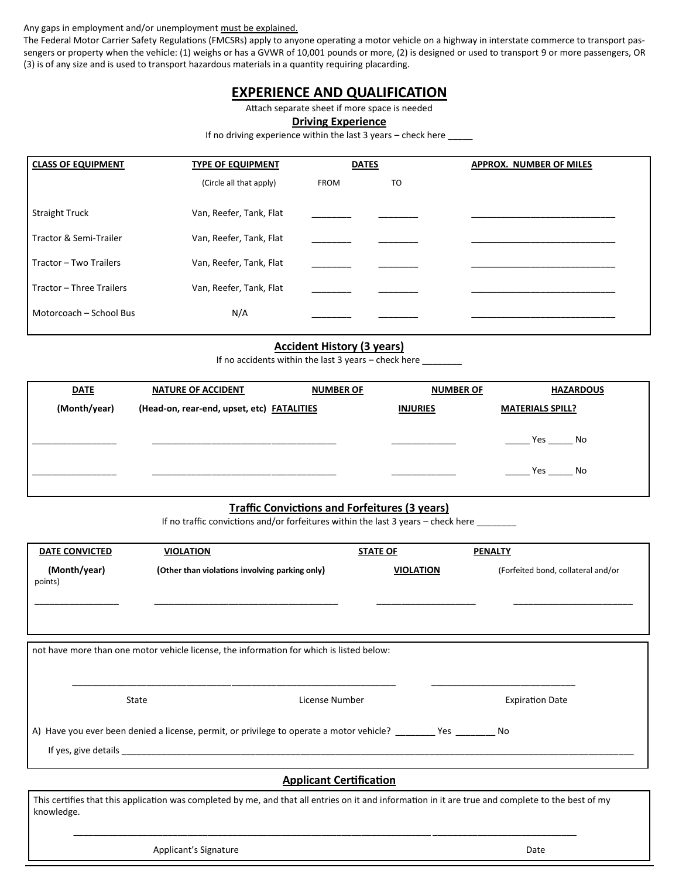Any gaps in employment and/or unemployment must be explained.

The Federal Motor Carrier Safety Regulations (FMCSRs) apply to anyone operating a motor vehicle on a highway in interstate commerce to transport passengers or property when the vehicle: (1) weighs or has a GVWR of 10,001 pounds or more, (2) is designed or used to transport 9 or more passengers, OR (3) is of any size and is used to transport hazardous materials in a quantty requiring placarding.

### **EXPERIENCE AND QUALIFICATION**

Attach separate sheet if more space is needed

**Driving Experience**

If no driving experience within the last  $3$  years  $-$  check here

| <b>CLASS OF EQUIPMENT</b> | <b>TYPE OF EQUIPMENT</b> | <b>DATES</b> |    | <b>APPROX. NUMBER OF MILES</b> |
|---------------------------|--------------------------|--------------|----|--------------------------------|
|                           | (Circle all that apply)  | <b>FROM</b>  | TO |                                |
| <b>Straight Truck</b>     | Van, Reefer, Tank, Flat  |              |    |                                |
| Tractor & Semi-Trailer    | Van, Reefer, Tank, Flat  |              |    |                                |
| Tractor - Two Trailers    | Van, Reefer, Tank, Flat  |              |    |                                |
| Tractor - Three Trailers  | Van, Reefer, Tank, Flat  |              |    |                                |
| Motorcoach - School Bus   | N/A                      |              |    |                                |

#### **Accident History (3 years)**

If no accidents within the last 3 years – check here  $\_$ 

| <b>DATE</b>  | <b>NATURE OF ACCIDENT</b>                  | <b>NUMBER OF</b> | <b>NUMBER OF</b> | <b>HAZARDOUS</b>        |
|--------------|--------------------------------------------|------------------|------------------|-------------------------|
| (Month/year) | (Head-on, rear-end, upset, etc) FATALITIES |                  | <b>INJURIES</b>  | <b>MATERIALS SPILL?</b> |
|              |                                            |                  |                  | Yes<br>No               |
|              |                                            |                  |                  | Yes<br>No               |

#### **Traffic Convictions and Forfeitures (3 years)**

If no traffic convictions and/or forfeitures within the last 3 years – check here  $\_\_$ 

| <b>DATE CONVICTED</b>   | <b>VIOLATION</b>                                                                             |                                | <b>STATE OF</b>  | <b>PENALTY</b> |                                    |
|-------------------------|----------------------------------------------------------------------------------------------|--------------------------------|------------------|----------------|------------------------------------|
| (Month/year)<br>points) | (Other than violations involving parking only)                                               |                                | <b>VIOLATION</b> |                | (Forfeited bond, collateral and/or |
|                         |                                                                                              |                                |                  |                |                                    |
|                         |                                                                                              |                                |                  |                |                                    |
|                         | not have more than one motor vehicle license, the information for which is listed below:     |                                |                  |                |                                    |
|                         |                                                                                              |                                |                  |                |                                    |
|                         | State                                                                                        | License Number                 |                  |                | <b>Expiration Date</b>             |
|                         | A) Have you ever been denied a license, permit, or privilege to operate a motor vehicle? Nes |                                |                  |                |                                    |
|                         |                                                                                              |                                |                  |                |                                    |
|                         |                                                                                              | <b>Applicant Certification</b> |                  |                |                                    |

This certifies that this application was completed by me, and that all entries on it and information in it are true and complete to the best of my knowledge.

\_\_\_\_\_\_\_\_\_\_\_\_\_\_\_\_\_\_\_\_\_\_\_\_\_\_\_\_\_\_\_\_\_\_\_\_\_\_\_\_\_\_\_\_\_\_\_\_\_\_\_\_\_\_\_\_\_\_\_\_\_\_\_\_\_\_\_\_\_\_\_\_ \_\_\_\_\_\_\_\_\_\_\_\_\_\_\_\_\_\_\_\_\_\_\_\_\_\_\_\_\_

Applicant's Signature **Date** Date of Contract and Contract of Contract and Contract and Contract and Contract and Contract and Contract and Contract and Contract and Contract and Contract and Contract and Contract and Cont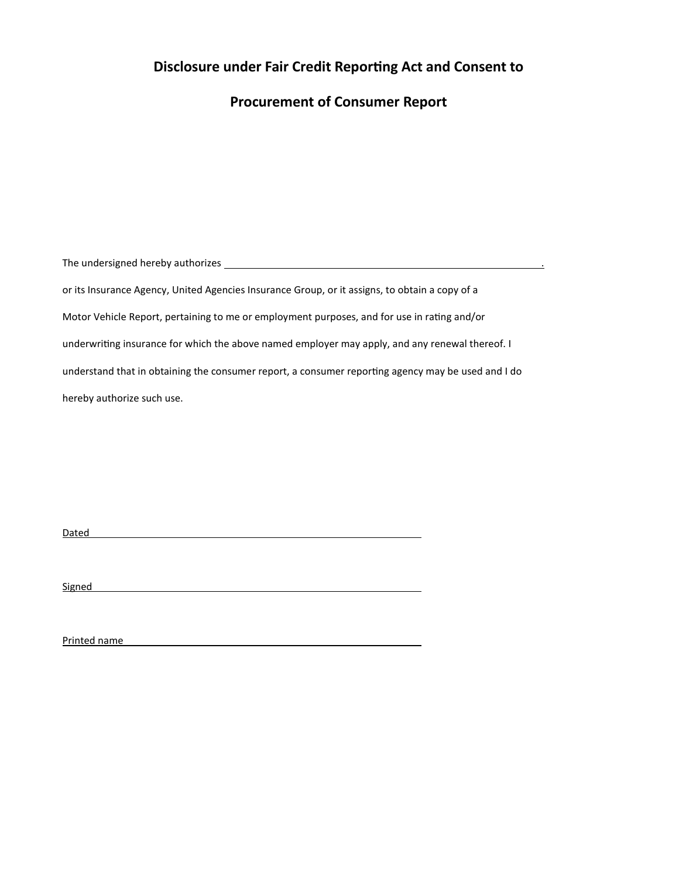## **Disclosure under Fair Credit Reportng Act and Consent to**

### **Procurement of Consumer Report**

The undersigned hereby authorizes .

or its Insurance Agency, United Agencies Insurance Group, or it assigns, to obtain a copy of a Motor Vehicle Report, pertaining to me or employment purposes, and for use in rating and/or underwritng insurance for which the above named employer may apply, and any renewal thereof. I understand that in obtaining the consumer report, a consumer reporting agency may be used and I do hereby authorize such use.

Dated and the contract of the contract of the contract of the contract of the contract of the contract of the contract of the contract of the contract of the contract of the contract of the contract of the contract of the

Signed **Signed Signed Signed Signed Signed Signed Signed Signed Signed Signed** 

Printed name